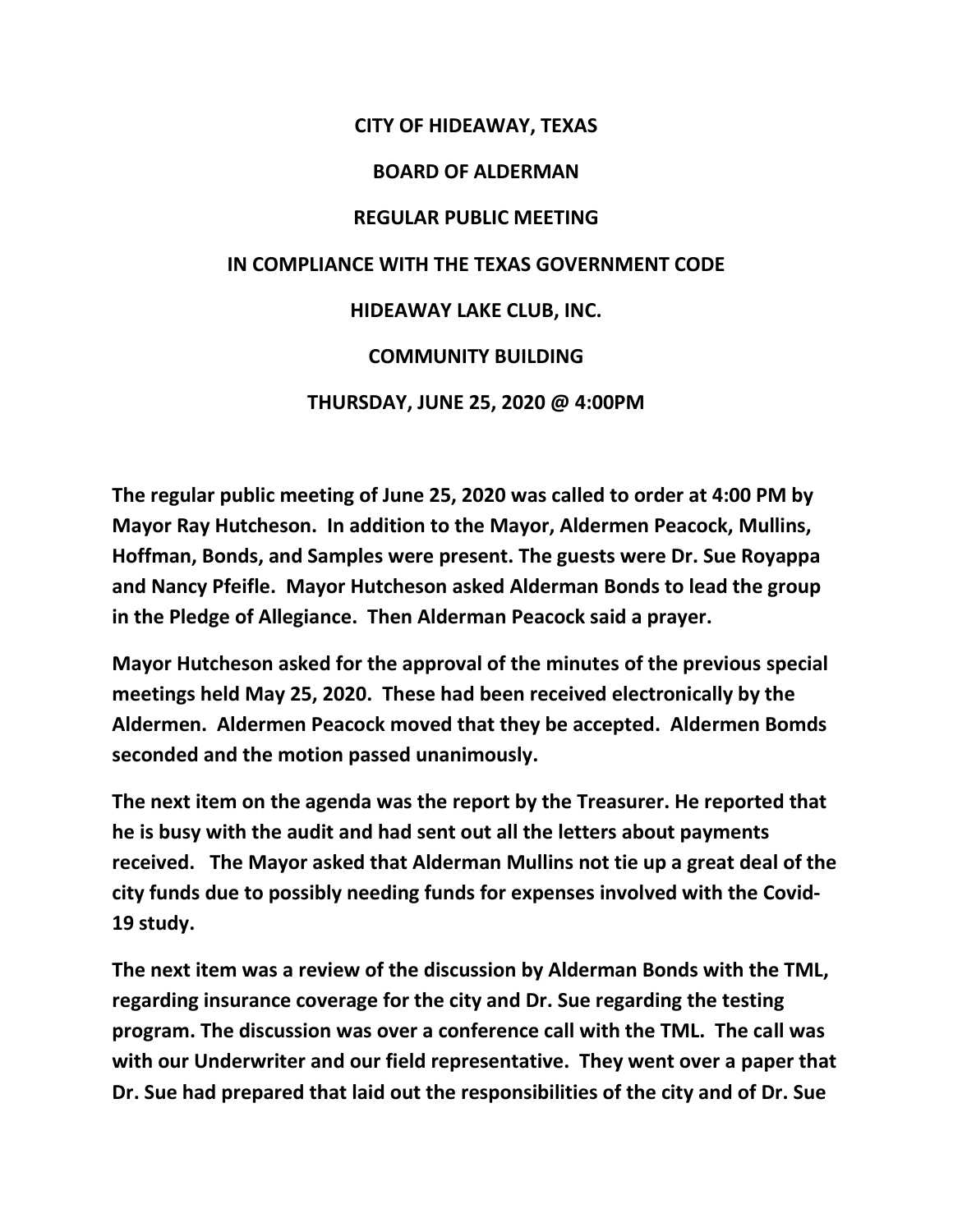## **CITY OF HIDEAWAY, TEXAS BOARD OF ALDERMAN REGULAR PUBLIC MEETING IN COMPLIANCE WITH THE TEXAS GOVERNMENT CODE HIDEAWAY LAKE CLUB, INC. COMMUNITY BUILDING THURSDAY, JUNE 25, 2020 @ 4:00PM**

**The regular public meeting of June 25, 2020 was called to order at 4:00 PM by Mayor Ray Hutcheson. In addition to the Mayor, Aldermen Peacock, Mullins, Hoffman, Bonds, and Samples were present. The guests were Dr. Sue Royappa and Nancy Pfeifle. Mayor Hutcheson asked Alderman Bonds to lead the group in the Pledge of Allegiance. Then Alderman Peacock said a prayer.** 

**Mayor Hutcheson asked for the approval of the minutes of the previous special meetings held May 25, 2020. These had been received electronically by the Aldermen. Aldermen Peacock moved that they be accepted. Aldermen Bomds seconded and the motion passed unanimously.** 

**The next item on the agenda was the report by the Treasurer. He reported that he is busy with the audit and had sent out all the letters about payments received. The Mayor asked that Alderman Mullins not tie up a great deal of the city funds due to possibly needing funds for expenses involved with the Covid-19 study.** 

**The next item was a review of the discussion by Alderman Bonds with the TML, regarding insurance coverage for the city and Dr. Sue regarding the testing program. The discussion was over a conference call with the TML. The call was with our Underwriter and our field representative. They went over a paper that Dr. Sue had prepared that laid out the responsibilities of the city and of Dr. Sue**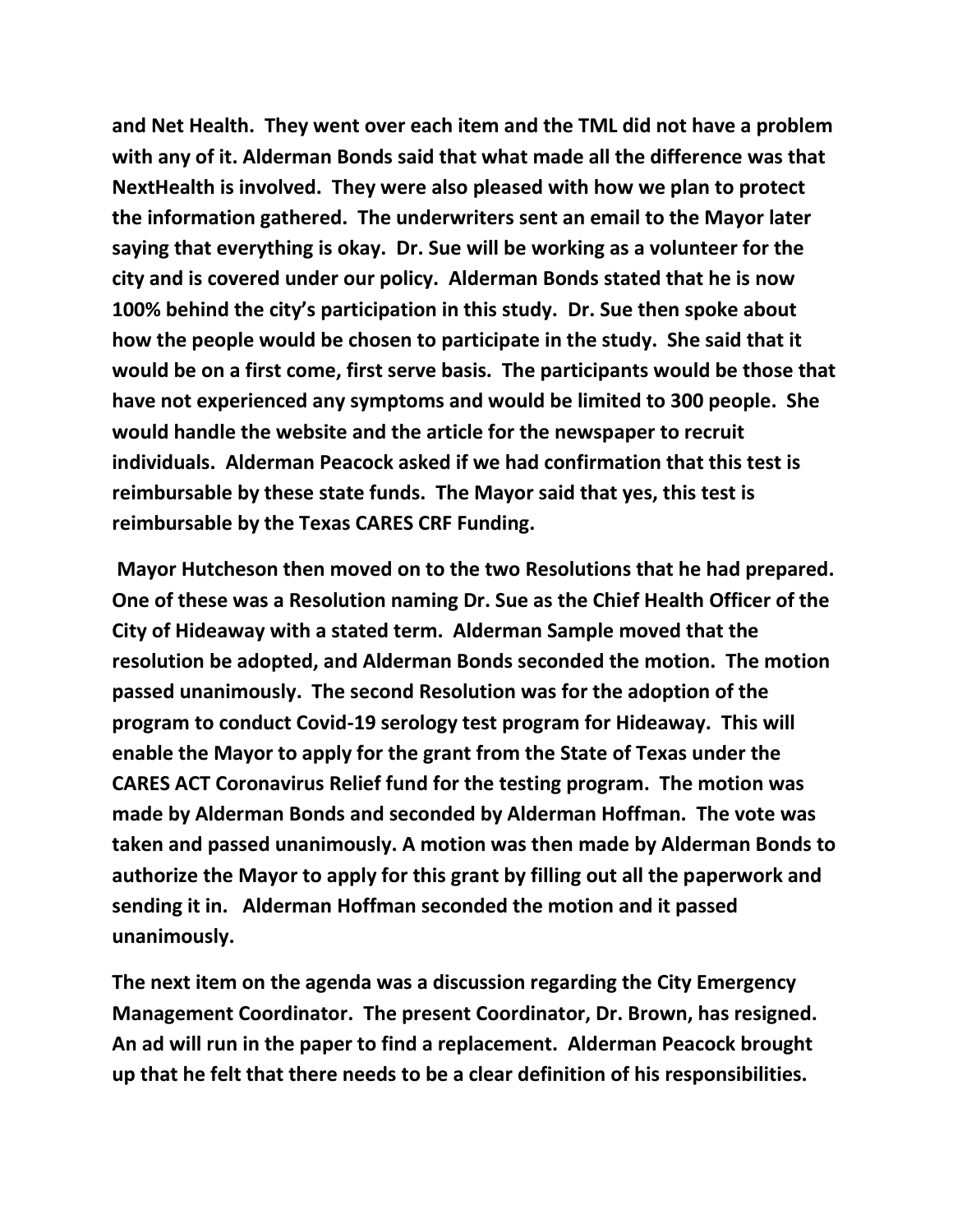**and Net Health. They went over each item and the TML did not have a problem with any of it. Alderman Bonds said that what made all the difference was that NextHealth is involved. They were also pleased with how we plan to protect the information gathered. The underwriters sent an email to the Mayor later saying that everything is okay. Dr. Sue will be working as a volunteer for the city and is covered under our policy. Alderman Bonds stated that he is now 100% behind the city's participation in this study. Dr. Sue then spoke about how the people would be chosen to participate in the study. She said that it would be on a first come, first serve basis. The participants would be those that have not experienced any symptoms and would be limited to 300 people. She would handle the website and the article for the newspaper to recruit individuals. Alderman Peacock asked if we had confirmation that this test is reimbursable by these state funds. The Mayor said that yes, this test is reimbursable by the Texas CARES CRF Funding.** 

**Mayor Hutcheson then moved on to the two Resolutions that he had prepared. One of these was a Resolution naming Dr. Sue as the Chief Health Officer of the City of Hideaway with a stated term. Alderman Sample moved that the resolution be adopted, and Alderman Bonds seconded the motion. The motion passed unanimously. The second Resolution was for the adoption of the program to conduct Covid-19 serology test program for Hideaway. This will enable the Mayor to apply for the grant from the State of Texas under the CARES ACT Coronavirus Relief fund for the testing program. The motion was made by Alderman Bonds and seconded by Alderman Hoffman. The vote was taken and passed unanimously. A motion was then made by Alderman Bonds to authorize the Mayor to apply for this grant by filling out all the paperwork and sending it in. Alderman Hoffman seconded the motion and it passed unanimously.**

**The next item on the agenda was a discussion regarding the City Emergency Management Coordinator. The present Coordinator, Dr. Brown, has resigned. An ad will run in the paper to find a replacement. Alderman Peacock brought up that he felt that there needs to be a clear definition of his responsibilities.**